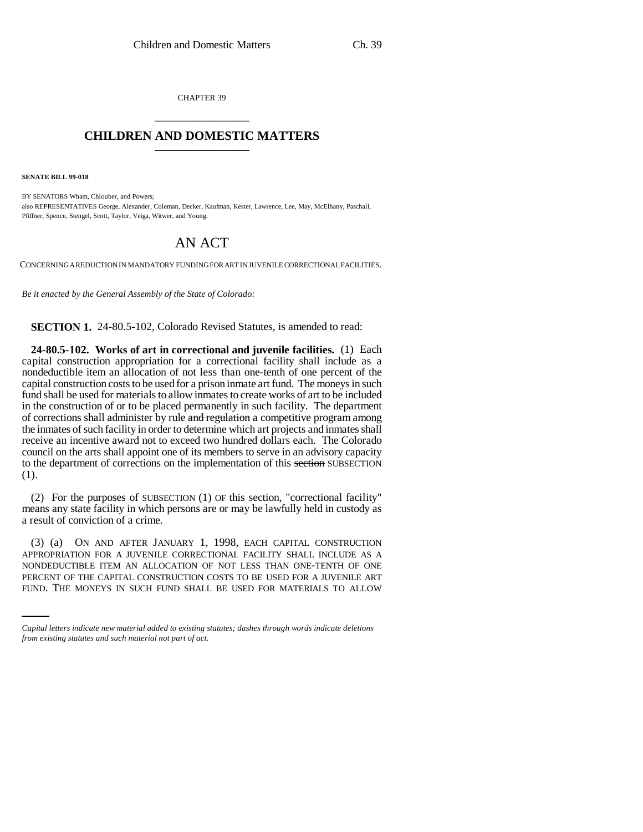CHAPTER 39 \_\_\_\_\_\_\_\_\_\_\_\_\_\_\_

## **CHILDREN AND DOMESTIC MATTERS** \_\_\_\_\_\_\_\_\_\_\_\_\_\_\_

**SENATE BILL 99-018**

BY SENATORS Wham, Chlouber, and Powers; also REPRESENTATIVES George, Alexander, Coleman, Decker, Kaufman, Kester, Lawrence, Lee, May, McElhany, Paschall, Pfiffner, Spence, Stengel, Scott, Taylor, Veiga, Witwer, and Young.

## AN ACT

CONCERNING A REDUCTION IN MANDATORY FUNDING FOR ART IN JUVENILE CORRECTIONAL FACILITIES.

*Be it enacted by the General Assembly of the State of Colorado:*

**SECTION 1.** 24-80.5-102, Colorado Revised Statutes, is amended to read:

**24-80.5-102. Works of art in correctional and juvenile facilities.** (1) Each capital construction appropriation for a correctional facility shall include as a nondeductible item an allocation of not less than one-tenth of one percent of the capital construction costs to be used for a prison inmate art fund. The moneys in such fund shall be used for materials to allow inmates to create works of art to be included in the construction of or to be placed permanently in such facility. The department of corrections shall administer by rule and regulation a competitive program among the inmates of such facility in order to determine which art projects and inmates shall receive an incentive award not to exceed two hundred dollars each. The Colorado council on the arts shall appoint one of its members to serve in an advisory capacity to the department of corrections on the implementation of this section SUBSECTION (1).

(2) For the purposes of SUBSECTION (1) OF this section, "correctional facility" means any state facility in which persons are or may be lawfully held in custody as a result of conviction of a crime.

NONDEDUCTIBLE ITEM AN ALLOCATION OF NOT LESS THAN ONE-TENTH OF ONE (3) (a) ON AND AFTER JANUARY 1, 1998, EACH CAPITAL CONSTRUCTION APPROPRIATION FOR A JUVENILE CORRECTIONAL FACILITY SHALL INCLUDE AS A PERCENT OF THE CAPITAL CONSTRUCTION COSTS TO BE USED FOR A JUVENILE ART FUND. THE MONEYS IN SUCH FUND SHALL BE USED FOR MATERIALS TO ALLOW

*Capital letters indicate new material added to existing statutes; dashes through words indicate deletions from existing statutes and such material not part of act.*